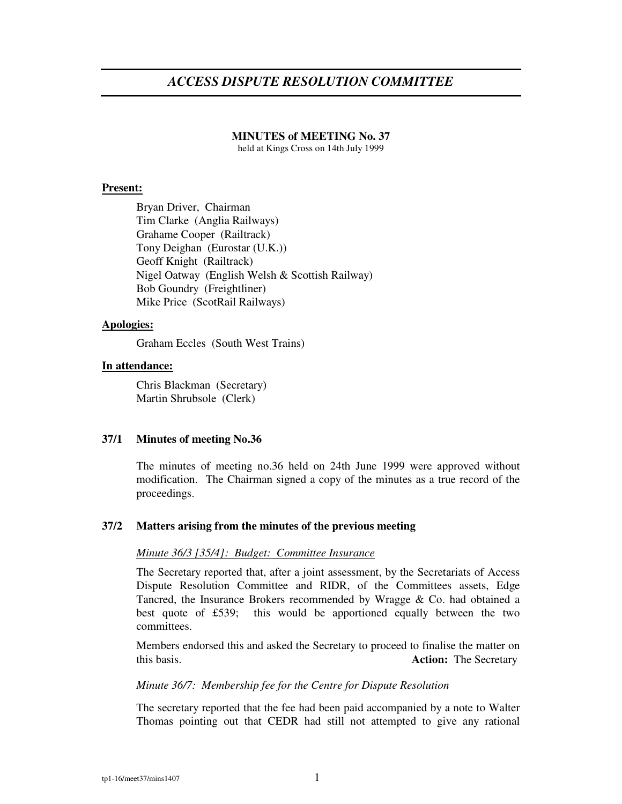# *ACCESS DISPUTE RESOLUTION COMMITTEE*

#### **MINUTES of MEETING No. 37**

held at Kings Cross on 14th July 1999

# **Present:**

Bryan Driver, Chairman Tim Clarke (Anglia Railways) Grahame Cooper (Railtrack) Tony Deighan (Eurostar (U.K.)) Geoff Knight (Railtrack) Nigel Oatway (English Welsh & Scottish Railway) Bob Goundry (Freightliner) Mike Price (ScotRail Railways)

# **Apologies:**

Graham Eccles (South West Trains)

# **In attendance:**

Chris Blackman (Secretary) Martin Shrubsole (Clerk)

#### **37/1 Minutes of meeting No.36**

The minutes of meeting no.36 held on 24th June 1999 were approved without modification. The Chairman signed a copy of the minutes as a true record of the proceedings.

#### **37/2 Matters arising from the minutes of the previous meeting**

# *Minute 36/3 [35/4]: Budget: Committee Insurance*

The Secretary reported that, after a joint assessment, by the Secretariats of Access Dispute Resolution Committee and RIDR, of the Committees assets, Edge Tancred, the Insurance Brokers recommended by Wragge & Co. had obtained a best quote of £539; this would be apportioned equally between the two committees.

Members endorsed this and asked the Secretary to proceed to finalise the matter on this basis. **Action:** The Secretary

#### *Minute 36/7: Membership fee for the Centre for Dispute Resolution*

The secretary reported that the fee had been paid accompanied by a note to Walter Thomas pointing out that CEDR had still not attempted to give any rational